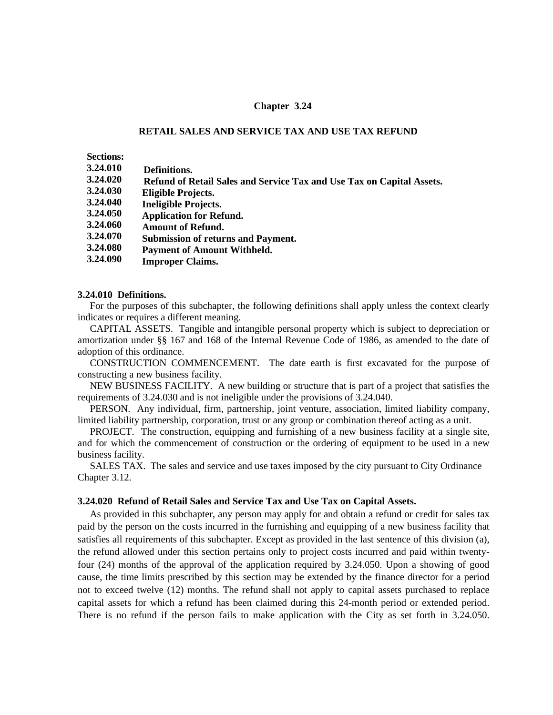## **Chapter 3.24**

## **RETAIL SALES AND SERVICE TAX AND USE TAX REFUND**

**Sections:** 

- **3.24.010 Definitions.**
- **3.24.020 Refund of Retail Sales and Service Tax and Use Tax on Capital Assets.**
- **3.24.030 Eligible Projects.**
- **3.24.040 Ineligible Projects.**
- **3.24.050 Application for Refund.**
- **3.24.060 Amount of Refund.**
- **3.24.070 Submission of returns and Payment.**
- **3.24.080 Payment of Amount Withheld.**
- **3.24.090 Improper Claims.**

#### **3.24.010 Definitions.**

For the purposes of this subchapter, the following definitions shall apply unless the context clearly indicates or requires a different meaning.

CAPITAL ASSETS. Tangible and intangible personal property which is subject to depreciation or amortization under §§ 167 and 168 of the Internal Revenue Code of 1986, as amended to the date of adoption of this ordinance.

CONSTRUCTION COMMENCEMENT. The date earth is first excavated for the purpose of constructing a new business facility.

NEW BUSINESS FACILITY. A new building or structure that is part of a project that satisfies the requirements of 3.24.030 and is not ineligible under the provisions of 3.24.040.

PERSON. Any individual, firm, partnership, joint venture, association, limited liability company, limited liability partnership, corporation, trust or any group or combination thereof acting as a unit.

PROJECT. The construction, equipping and furnishing of a new business facility at a single site, and for which the commencement of construction or the ordering of equipment to be used in a new business facility.

SALES TAX. The sales and service and use taxes imposed by the city pursuant to City Ordinance Chapter 3.12.

# **3.24.020 Refund of Retail Sales and Service Tax and Use Tax on Capital Assets.**

As provided in this subchapter, any person may apply for and obtain a refund or credit for sales tax paid by the person on the costs incurred in the furnishing and equipping of a new business facility that satisfies all requirements of this subchapter. Except as provided in the last sentence of this division (a), the refund allowed under this section pertains only to project costs incurred and paid within twentyfour (24) months of the approval of the application required by 3.24.050. Upon a showing of good cause, the time limits prescribed by this section may be extended by the finance director for a period not to exceed twelve (12) months. The refund shall not apply to capital assets purchased to replace capital assets for which a refund has been claimed during this 24-month period or extended period. There is no refund if the person fails to make application with the City as set forth in 3.24.050.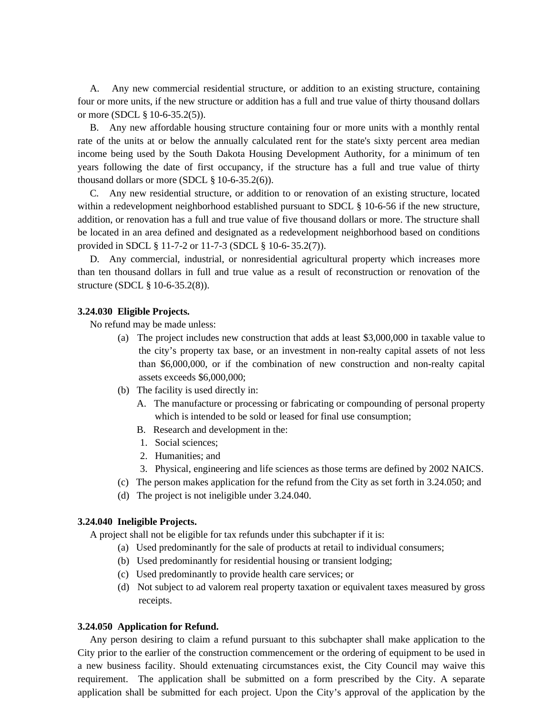A. Any new commercial residential structure, or addition to an existing structure, containing four or more units, if the new structure or addition has a full and true value of thirty thousand dollars or more (SDCL § 10-6-35.2(5)).

B. Any new affordable housing structure containing four or more units with a monthly rental rate of the units at or below the annually calculated rent for the state's sixty percent area median income being used by the South Dakota Housing Development Authority, for a minimum of ten years following the date of first occupancy, if the structure has a full and true value of thirty thousand dollars or more (SDCL  $\S$  10-6-35.2(6)).

C. Any new residential structure, or addition to or renovation of an existing structure, located within a redevelopment neighborhood established pursuant to SDCL § 10-6-56 if the new structure, addition, or renovation has a full and true value of five thousand dollars or more. The structure shall be located in an area defined and designated as a redevelopment neighborhood based on conditions provided in SDCL § 11-7-2 or 11-7-3 (SDCL § 10-6- 35.2(7)).

D. Any commercial, industrial, or nonresidential agricultural property which increases more than ten thousand dollars in full and true value as a result of reconstruction or renovation of the structure (SDCL § 10-6-35.2(8)).

## **3.24.030 Eligible Projects.**

No refund may be made unless:

- (a) The project includes new construction that adds at least \$3,000,000 in taxable value to the city's property tax base, or an investment in non-realty capital assets of not less than \$6,000,000, or if the combination of new construction and non-realty capital assets exceeds \$6,000,000;
- (b) The facility is used directly in:
	- A. The manufacture or processing or fabricating or compounding of personal property which is intended to be sold or leased for final use consumption;
	- B. Research and development in the:
	- 1. Social sciences;
	- 2. Humanities; and
	- 3. Physical, engineering and life sciences as those terms are defined by 2002 NAICS.
- (c) The person makes application for the refund from the City as set forth in 3.24.050; and
- (d) The project is not ineligible under 3.24.040.

## **3.24.040 Ineligible Projects.**

A project shall not be eligible for tax refunds under this subchapter if it is:

- (a) Used predominantly for the sale of products at retail to individual consumers;
- (b) Used predominantly for residential housing or transient lodging;
- (c) Used predominantly to provide health care services; or
- (d) Not subject to ad valorem real property taxation or equivalent taxes measured by gross receipts.

#### **3.24.050 Application for Refund.**

Any person desiring to claim a refund pursuant to this subchapter shall make application to the City prior to the earlier of the construction commencement or the ordering of equipment to be used in a new business facility. Should extenuating circumstances exist, the City Council may waive this requirement. The application shall be submitted on a form prescribed by the City. A separate application shall be submitted for each project. Upon the City's approval of the application by the